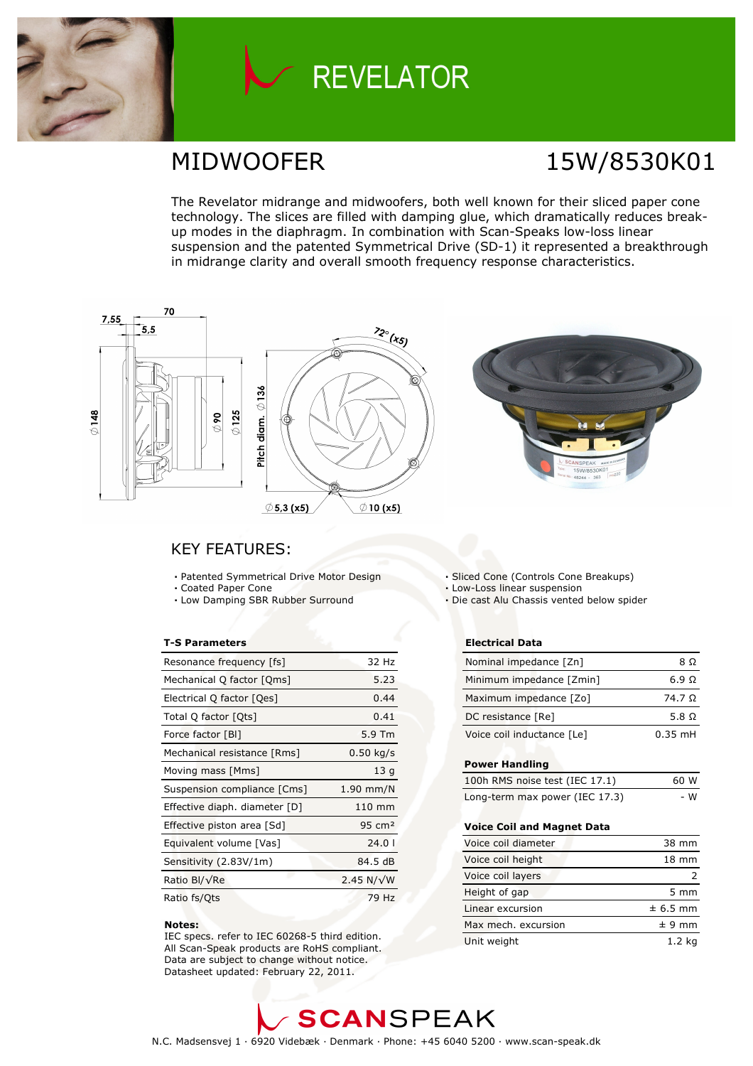

## **REVELATOR**

### MIDWOOFER 15W/8530K01

The Revelator midrange and midwoofers, both well known for their sliced paper cone technology. The slices are filled with damping glue, which dramatically reduces breakup modes in the diaphragm. In combination with Scan-Speaks low-loss linear suspension and the patented Symmetrical Drive (SD-1) it represented a breakthrough in midrange clarity and overall smooth frequency response characteristics.



### KEY FEATURES:

- Patented Symmetrical Drive Motor Design
- Coated Paper Cone
- Low Damping SBR Rubber Surround

#### T-S Parameters

| Resonance frequency [fs]      | 32 Hz              |
|-------------------------------|--------------------|
| Mechanical Q factor [Qms]     | 5.23               |
| Electrical Q factor [Qes]     | 0.44               |
| Total Q factor [Ots]          | 0.41               |
| Force factor [BI]             | 5.9 Tm             |
| Mechanical resistance [Rms]   | $0.50$ kg/s        |
| Moving mass [Mms]             | 13q                |
| Suspension compliance [Cms]   | $1.90$ mm/N        |
| Effective diaph. diameter [D] | 110 mm             |
| Effective piston area [Sd]    | $95 \text{ cm}^2$  |
| Equivalent volume [Vas]       | 24.01              |
| Sensitivity (2.83V/1m)        | 84.5 dB            |
| Ratio Bl/√Re                  | 2.45 N/ $\sqrt{W}$ |
| Ratio fs/Qts                  | 79 Hz              |

#### Notes:

 IEC specs. refer to IEC 60268-5 third edition. All Scan-Speak products are RoHS compliant. Data are subject to change without notice. Datasheet updated: February 22, 2011.

- Sliced Cone (Controls Cone Breakups)
- Low-Loss linear suspension
- Die cast Alu Chassis vented below spider

#### Electrical Data

| Nominal impedance [Zn]     | 8 O          |
|----------------------------|--------------|
| Minimum impedance [Zmin]   | 6.9 Q        |
| Maximum impedance [Zo]     | 74.7 Q       |
| DC resistance [Re]         | 5.8 $\Omega$ |
| Voice coil inductance [Le] | $0.35$ mH    |

#### Power Handling

| 100h RMS noise test (IEC 17.1) | 60 W |
|--------------------------------|------|
| Long-term max power (IEC 17.3) | - W  |

#### Voice Coil and Magnet Data

| Voice coil diameter | 38 mm            |
|---------------------|------------------|
| Voice coil height   | $18 \text{ mm}$  |
| Voice coil layers   |                  |
| Height of gap       | $5 \, \text{mm}$ |
| Linear excursion    | $± 6.5$ mm       |
| Max mech, excursion | $± 9$ mm         |
| Unit weight         | 1.2 ka           |